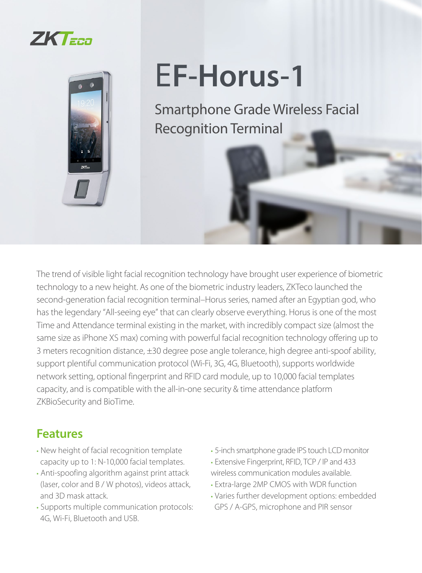



# E**F**-**Horus**-**1**

Smartphone Grade Wireless Facial Recognition Terminal

The trend of visible light facial recognition technology have brought user experience of biometric technology to a new height. As one of the biometric industry leaders, ZKTeco launched the second-generation facial recognition terminal–Horus series, named after an Egyptian god, who has the legendary "All-seeing eye" that can clearly observe everything. Horus is one of the most Time and Attendance terminal existing in the market, with incredibly compact size (almost the same size as iPhone XS max) coming with powerful facial recognition technology offering up to 3 meters recognition distance, ±30 degree pose angle tolerance, high degree anti-spoof ability, support plentiful communication protocol (Wi-Fi, 3G, 4G, Bluetooth), supports worldwide network setting, optional fingerprint and RFID card module, up to 10,000 facial templates capacity, and is compatible with the all-in-one security & time attendance platform ZKBioSecurity and BioTime.

#### **Features**

- New height of facial recognition template capacity up to 1: N-10,000 facial templates.
- Anti-spoofing algorithm against print attack (laser, color and B / W photos), videos attack, and 3D mask attack.
- Supports multiple communication protocols: 4G, Wi-Fi, Bluetooth and USB.
- 5-inch smartphone grade IPS touch LCD monitor
- Extensive Fingerprint, RFID, TCP / IP and 433 wireless communication modules available.
- Extra-large 2MP CMOS with WDR function
- Varies further development options: embedded GPS / A-GPS, microphone and PIR sensor